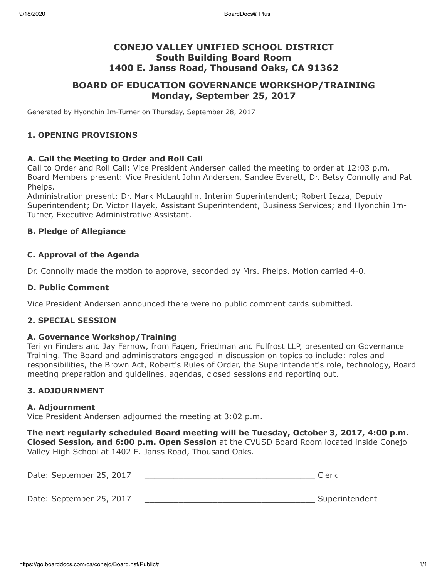# **CONEJO VALLEY UNIFIED SCHOOL DISTRICT South Building Board Room 1400 E. Janss Road, Thousand Oaks, CA 91362**

# **BOARD OF EDUCATION GOVERNANCE WORKSHOP/TRAINING Monday, September 25, 2017**

Generated by Hyonchin Im-Turner on Thursday, September 28, 2017

#### **1. OPENING PROVISIONS**

## **A. Call the Meeting to Order and Roll Call**

Call to Order and Roll Call: Vice President Andersen called the meeting to order at 12:03 p.m. Board Members present: Vice President John Andersen, Sandee Everett, Dr. Betsy Connolly and Pat Phelps.

Administration present: Dr. Mark McLaughlin, Interim Superintendent; Robert Iezza, Deputy Superintendent; Dr. Victor Hayek, Assistant Superintendent, Business Services; and Hyonchin Im-Turner, Executive Administrative Assistant.

## **B. Pledge of Allegiance**

## **C. Approval of the Agenda**

Dr. Connolly made the motion to approve, seconded by Mrs. Phelps. Motion carried 4-0.

#### **D. Public Comment**

Vice President Andersen announced there were no public comment cards submitted.

#### **2. SPECIAL SESSION**

#### **A. Governance Workshop/Training**

Terilyn Finders and Jay Fernow, from Fagen, Friedman and Fulfrost LLP, presented on Governance Training. The Board and administrators engaged in discussion on topics to include: roles and responsibilities, the Brown Act, Robert's Rules of Order, the Superintendent's role, technology, Board meeting preparation and guidelines, agendas, closed sessions and reporting out.

## **3. ADJOURNMENT**

#### **A. Adjournment**

Vice President Andersen adjourned the meeting at 3:02 p.m.

**The next regularly scheduled Board meeting will be Tuesday, October 3, 2017, 4:00 p.m. Closed Session, and 6:00 p.m. Open Session** at the CVUSD Board Room located inside Conejo Valley High School at 1402 E. Janss Road, Thousand Oaks.

Date: September 25, 2017 \_\_\_\_\_\_\_\_\_\_\_\_\_\_\_\_\_\_\_\_\_\_\_\_\_\_\_\_\_\_\_\_\_\_\_ Clerk

Date: September 25, 2017 **Date: September 25, 2017**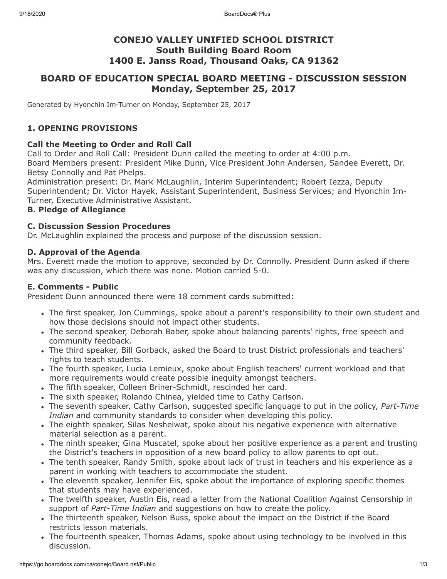# **CONEJO VALLEY UNIFIED SCHOOL DISTRICT South Building Board Room 1400 E. Janss Road, Thousand Oaks, CA 91362**

# **BOARD OF EDUCATION SPECIAL BOARD MEETING - DISCUSSION SESSION Monday, September 25, 2017**

Generated by Hyonchin Im-Turner on Monday, September 25, 2017

# **1. OPENING PROVISIONS**

## **Call the Meeting to Order and Roll Call**

Call to Order and Roll Call: President Dunn called the meeting to order at 4:00 p.m. Board Members present: President Mike Dunn, Vice President John Andersen, Sandee Everett, Dr. Betsy Connolly and Pat Phelps.

Administration present: Dr. Mark McLaughlin, Interim Superintendent; Robert Iezza, Deputy Superintendent; Dr. Victor Hayek, Assistant Superintendent, Business Services; and Hyonchin Im-Turner, Executive Administrative Assistant.

## **B. Pledge of Allegiance**

## **C. Discussion Session Procedures**

Dr. McLaughlin explained the process and purpose of the discussion session.

## **D. Approval of the Agenda**

Mrs. Everett made the motion to approve, seconded by Dr. Connolly. President Dunn asked if there was any discussion, which there was none. Motion carried 5-0.

#### **E. Comments - Public**

President Dunn announced there were 18 comment cards submitted:

- The first speaker, Jon Cummings, spoke about a parent's responsibility to their own student and how those decisions should not impact other students.
- The second speaker, Deborah Baber, spoke about balancing parents' rights, free speech and community feedback.
- The third speaker, Bill Gorback, asked the Board to trust District professionals and teachers' rights to teach students.
- The fourth speaker, Lucia Lemieux, spoke about English teachers' current workload and that more requirements would create possible inequity amongst teachers.
- The fifth speaker, Colleen Briner-Schmidt, rescinded her card.
- The sixth speaker, Rolando Chinea, yielded time to Cathy Carlson.
- The seventh speaker, Cathy Carlson, suggested specific language to put in the policy, *Part-Time Indian* and community standards to consider when developing this policy.
- The eighth speaker, Silas Nesheiwat, spoke about his negative experience with alternative material selection as a parent.
- The ninth speaker, Gina Muscatel, spoke about her positive experience as a parent and trusting the District's teachers in opposition of a new board policy to allow parents to opt out.
- The tenth speaker, Randy Smith, spoke about lack of trust in teachers and his experience as a parent in working with teachers to accommodate the student.
- The eleventh speaker, Jennifer Eis, spoke about the importance of exploring specific themes that students may have experienced.
- The twelfth speaker, Austin Eis, read a letter from the National Coalition Against Censorship in support of *Part-Time Indian* and suggestions on how to create the policy.
- The thirteenth speaker, Nelson Buss, spoke about the impact on the District if the Board restricts lesson materials.
- The fourteenth speaker, Thomas Adams, spoke about using technology to be involved in this discussion.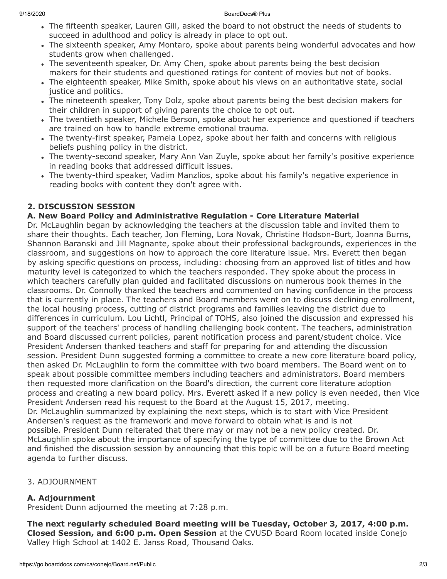- The fifteenth speaker, Lauren Gill, asked the board to not obstruct the needs of students to succeed in adulthood and policy is already in place to opt out.
- The sixteenth speaker, Amy Montaro, spoke about parents being wonderful advocates and how students grow when challenged.
- The seventeenth speaker, Dr. Amy Chen, spoke about parents being the best decision makers for their students and questioned ratings for content of movies but not of books.
- The eighteenth speaker, Mike Smith, spoke about his views on an authoritative state, social justice and politics.
- The nineteenth speaker, Tony Dolz, spoke about parents being the best decision makers for their children in support of giving parents the choice to opt out.
- The twentieth speaker, Michele Berson, spoke about her experience and questioned if teachers are trained on how to handle extreme emotional trauma.
- The twenty-first speaker, Pamela Lopez, spoke about her faith and concerns with religious beliefs pushing policy in the district.
- The twenty-second speaker, Mary Ann Van Zuyle, spoke about her family's positive experience in reading books that addressed difficult issues.
- The twenty-third speaker, Vadim Manzlios, spoke about his family's negative experience in reading books with content they don't agree with.

# **2. DISCUSSION SESSION**

# **A. New Board Policy and Administrative Regulation - Core Literature Material**

Dr. McLaughlin began by acknowledging the teachers at the discussion table and invited them to share their thoughts. Each teacher, Jon Fleming, Lora Novak, Christine Hodson-Burt, Joanna Burns, Shannon Baranski and Jill Magnante, spoke about their professional backgrounds, experiences in the classroom, and suggestions on how to approach the core literature issue. Mrs. Everett then began by asking specific questions on process, including: choosing from an approved list of titles and how maturity level is categorized to which the teachers responded. They spoke about the process in which teachers carefully plan guided and facilitated discussions on numerous book themes in the classrooms. Dr. Connolly thanked the teachers and commented on having confidence in the process that is currently in place. The teachers and Board members went on to discuss declining enrollment, the local housing process, cutting of district programs and families leaving the district due to differences in curriculum. Lou Lichtl, Principal of TOHS, also joined the discussion and expressed his support of the teachers' process of handling challenging book content. The teachers, administration and Board discussed current policies, parent notification process and parent/student choice. Vice President Andersen thanked teachers and staff for preparing for and attending the discussion session. President Dunn suggested forming a committee to create a new core literature board policy, then asked Dr. McLaughlin to form the committee with two board members. The Board went on to speak about possible committee members including teachers and administrators. Board members then requested more clarification on the Board's direction, the current core literature adoption process and creating a new board policy. Mrs. Everett asked if a new policy is even needed, then Vice President Andersen read his request to the Board at the August 15, 2017, meeting. Dr. McLaughlin summarized by explaining the next steps, which is to start with Vice President Andersen's request as the framework and move forward to obtain what is and is not possible. President Dunn reiterated that there may or may not be a new policy created. Dr. McLaughlin spoke about the importance of specifying the type of committee due to the Brown Act and finished the discussion session by announcing that this topic will be on a future Board meeting agenda to further discuss.

# 3. ADJOURNMENT

# **A. Adjournment**

President Dunn adjourned the meeting at 7:28 p.m.

**The next regularly scheduled Board meeting will be Tuesday, October 3, 2017, 4:00 p.m. Closed Session, and 6:00 p.m. Open Session** at the CVUSD Board Room located inside Conejo Valley High School at 1402 E. Janss Road, Thousand Oaks.